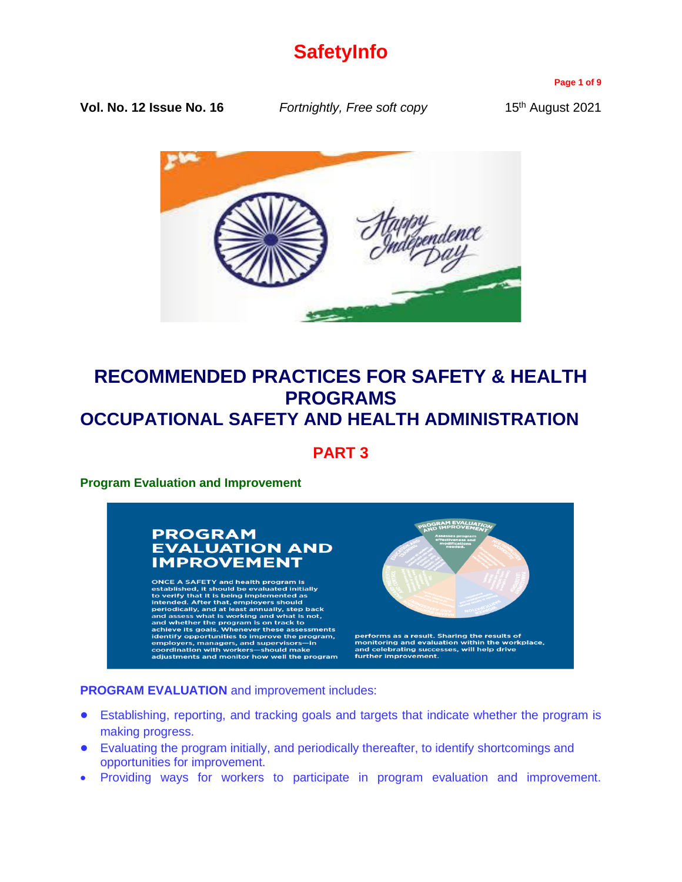# **SafetyInfo**

**Page 1 of 9**

**Vol. No. 12 Issue No. 16** *Fortnightly, Free soft copy* 15<sup>th</sup> August 2021



# **RECOMMENDED PRACTICES FOR SAFETY & HEALTH PROGRAMS OCCUPATIONAL SAFETY AND HEALTH ADMINISTRATION**

**PART 3**

**Program Evaluation and Improvement** 

# **PROGRAM EVALUATION AND IMPROVEMENT**

ONCE A SAFETY and health program is<br>established, it should be evaluated initially<br>to verify that it is being implemented as<br>intended. After that, employers should<br>preiodically, and at least annually, step back<br>and assess



performs as a result. Sharing the results of<br>monitoring and evaluation within the workplace,<br>and celebrating successes, will help drive<br>further improvement.

### **PROGRAM EVALUATION** and improvement includes:

- **•** Establishing, reporting, and tracking goals and targets that indicate whether the program is making progress.
- **•** Evaluating the program initially, and periodically thereafter, to identify shortcomings and opportunities for improvement.
- Providing ways for workers to participate in program evaluation and improvement.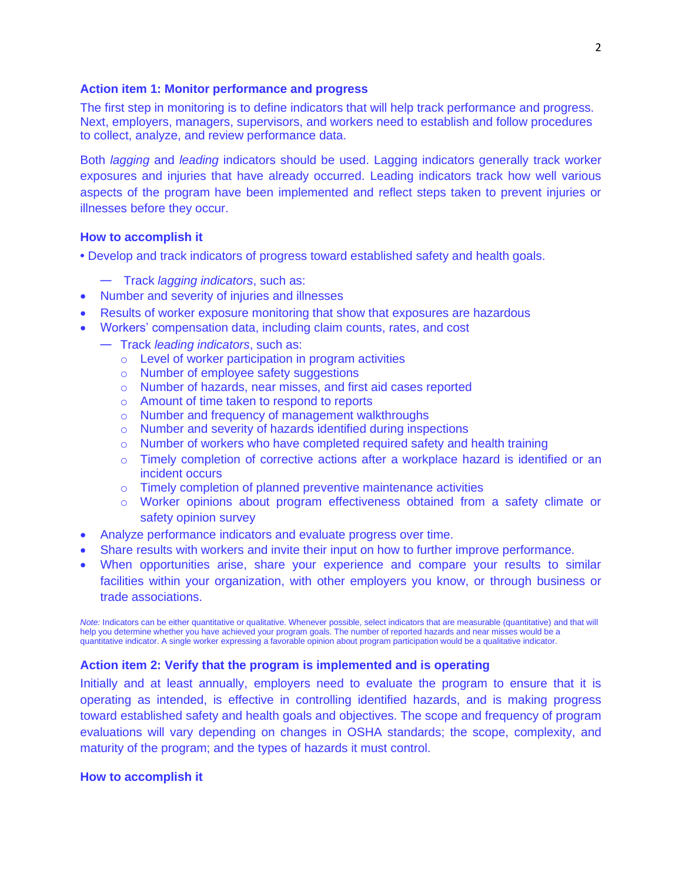### **Action item 1: Monitor performance and progress**

The first step in monitoring is to define indicators that will help track performance and progress. Next, employers, managers, supervisors, and workers need to establish and follow procedures to collect, analyze, and review performance data.

Both *lagging* and *leading* indicators should be used. Lagging indicators generally track worker exposures and injuries that have already occurred. Leading indicators track how well various aspects of the program have been implemented and reflect steps taken to prevent injuries or illnesses before they occur.

#### **How to accomplish it**

- Develop and track indicators of progress toward established safety and health goals.
	- Track *lagging indicators*, such as:
- Number and severity of injuries and illnesses
- Results of worker exposure monitoring that show that exposures are hazardous
- Workers' compensation data, including claim counts, rates, and cost
	- Track *leading indicators*, such as:
		- o Level of worker participation in program activities
		- o Number of employee safety suggestions
		- o Number of hazards, near misses, and first aid cases reported
		- o Amount of time taken to respond to reports
		- o Number and frequency of management walkthroughs
		- o Number and severity of hazards identified during inspections
		- $\circ$  Number of workers who have completed required safety and health training
		- o Timely completion of corrective actions after a workplace hazard is identified or an incident occurs
		- o Timely completion of planned preventive maintenance activities
		- o Worker opinions about program effectiveness obtained from a safety climate or safety opinion survey
- Analyze performance indicators and evaluate progress over time.
- Share results with workers and invite their input on how to further improve performance.
- When opportunities arise, share your experience and compare your results to similar facilities within your organization, with other employers you know, or through business or trade associations.

*Note:* Indicators can be either quantitative or qualitative. Whenever possible, select indicators that are measurable (quantitative) and that will help you determine whether you have achieved your program goals. The number of reported hazards and near misses would be a quantitative indicator. A single worker expressing a favorable opinion about program participation would be a qualitative indicator.

### **Action item 2: Verify that the program is implemented and is operating**

Initially and at least annually, employers need to evaluate the program to ensure that it is operating as intended, is effective in controlling identified hazards, and is making progress toward established safety and health goals and objectives. The scope and frequency of program evaluations will vary depending on changes in OSHA standards; the scope, complexity, and maturity of the program; and the types of hazards it must control.

#### **How to accomplish it**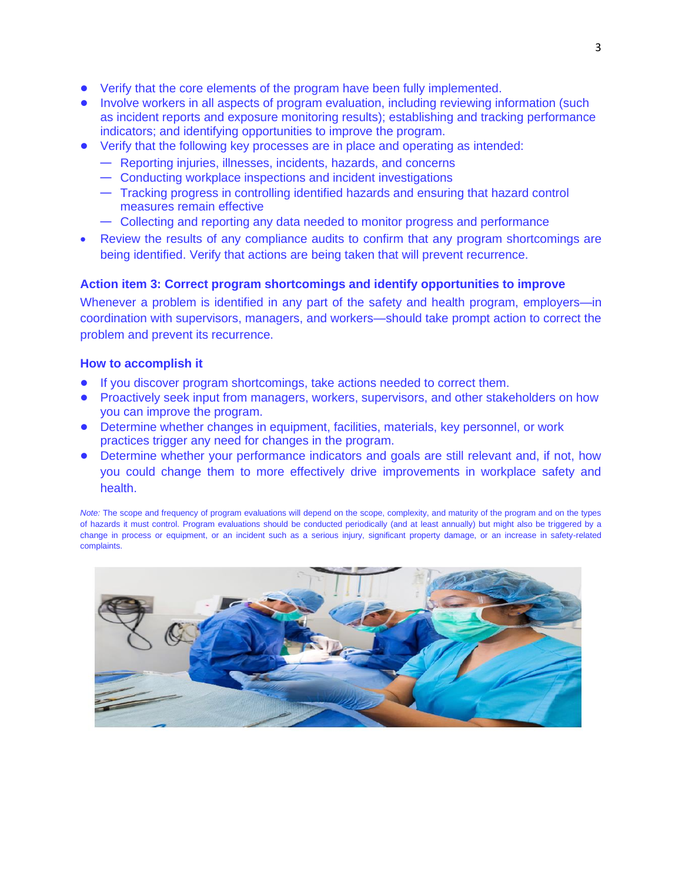- **•** Verify that the core elements of the program have been fully implemented.
- Involve workers in all aspects of program evaluation, including reviewing information (such as incident reports and exposure monitoring results); establishing and tracking performance indicators; and identifying opportunities to improve the program.
- **•** Verify that the following key processes are in place and operating as intended:
	- Reporting injuries, illnesses, incidents, hazards, and concerns
	- Conducting workplace inspections and incident investigations
	- Tracking progress in controlling identified hazards and ensuring that hazard control measures remain effective
	- Collecting and reporting any data needed to monitor progress and performance
- Review the results of any compliance audits to confirm that any program shortcomings are being identified. Verify that actions are being taken that will prevent recurrence.

### **Action item 3: Correct program shortcomings and identify opportunities to improve**

Whenever a problem is identified in any part of the safety and health program, employers—in coordination with supervisors, managers, and workers—should take prompt action to correct the problem and prevent its recurrence.

### **How to accomplish it**

- **•** If you discover program shortcomings, take actions needed to correct them.
- **•** Proactively seek input from managers, workers, supervisors, and other stakeholders on how you can improve the program.
- **•** Determine whether changes in equipment, facilities, materials, key personnel, or work practices trigger any need for changes in the program.
- **•** Determine whether your performance indicators and goals are still relevant and, if not, how you could change them to more effectively drive improvements in workplace safety and health.

*Note:* The scope and frequency of program evaluations will depend on the scope, complexity, and maturity of the program and on the types of hazards it must control. Program evaluations should be conducted periodically (and at least annually) but might also be triggered by a change in process or equipment, or an incident such as a serious injury, significant property damage, or an increase in safety-related complaints.

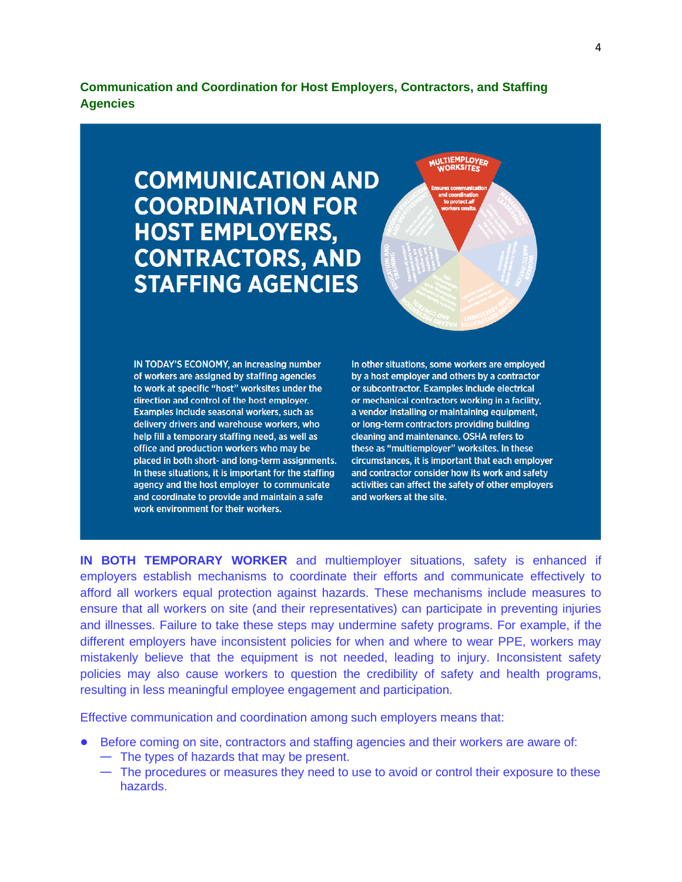**Communication and Coordination for Host Employers, Contractors, and Staffing Agencies** 

# **COMMUNICATION AND COORDINATION FOR HOST EMPLOYERS, CONTRACTORS, AND STAFFING AGENCIES**

IN TODAY'S ECONOMY, an increasing number of workers are assigned by staffing agencies to work at specific "host" worksites under the direction and control of the host employer. Examples include seasonal workers, such as delivery drivers and warehouse workers, who help fill a temporary staffing need, as well as office and production workers who may be placed in both short- and long-term assignments. In these situations, it is important for the staffing agency and the host employer to communicate and coordinate to provide and maintain a safe work environment for their workers.

In other situations, some workers are employed by a host employer and others by a contractor or subcontractor. Examples include electrical or mechanical contractors working in a facility, a vendor installing or maintaining equipment, or long-term contractors providing building cleaning and maintenance. OSHA refers to these as "multiemployer" worksites. In these circumstances, it is important that each employer and contractor consider how its work and safety activities can affect the safety of other employers and workers at the site.

MULTIEMPLOYER<br>WORKSITES

**IN BOTH TEMPORARY WORKER** and multiemployer situations, safety is enhanced if employers establish mechanisms to coordinate their efforts and communicate effectively to afford all workers equal protection against hazards. These mechanisms include measures to ensure that all workers on site (and their representatives) can participate in preventing injuries and illnesses. Failure to take these steps may undermine safety programs. For example, if the different employers have inconsistent policies for when and where to wear PPE, workers may mistakenly believe that the equipment is not needed, leading to injury. Inconsistent safety policies may also cause workers to question the credibility of safety and health programs, resulting in less meaningful employee engagement and participation.

Effective communication and coordination among such employers means that:

- Before coming on site, contractors and staffing agencies and their workers are aware of:
	- The types of hazards that may be present.
	- The procedures or measures they need to use to avoid or control their exposure to these hazards.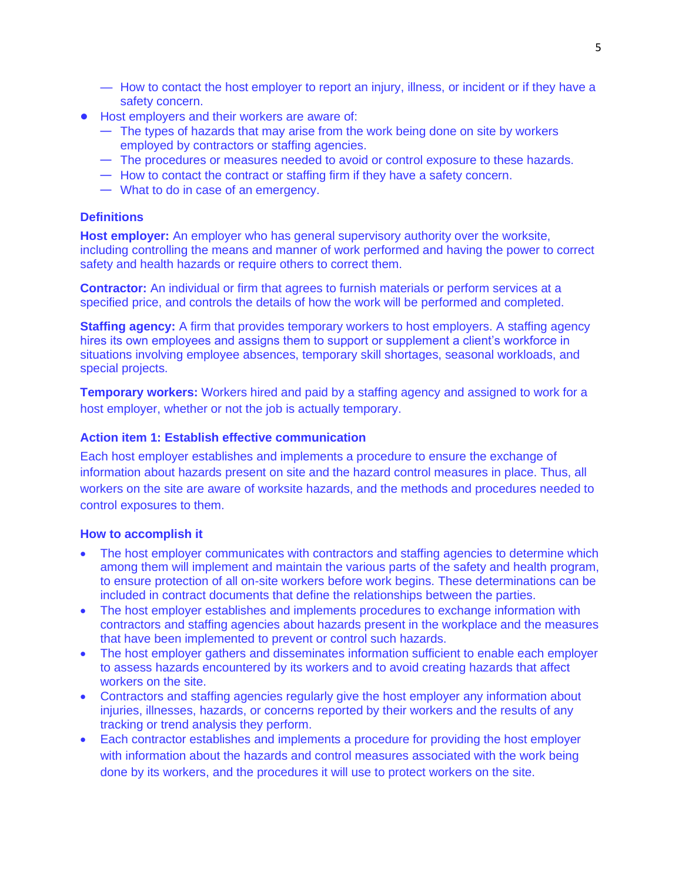- How to contact the host employer to report an injury, illness, or incident or if they have a safety concern.
- **•** Host employers and their workers are aware of:
	- The types of hazards that may arise from the work being done on site by workers employed by contractors or staffing agencies.
	- The procedures or measures needed to avoid or control exposure to these hazards.
	- How to contact the contract or staffing firm if they have a safety concern.
	- What to do in case of an emergency.

### **Definitions**

**Host employer:** An employer who has general supervisory authority over the worksite, including controlling the means and manner of work performed and having the power to correct safety and health hazards or require others to correct them.

**Contractor:** An individual or firm that agrees to furnish materials or perform services at a specified price, and controls the details of how the work will be performed and completed.

**Staffing agency:** A firm that provides temporary workers to host employers. A staffing agency hires its own employees and assigns them to support or supplement a client's workforce in situations involving employee absences, temporary skill shortages, seasonal workloads, and special projects.

**Temporary workers:** Workers hired and paid by a staffing agency and assigned to work for a host employer, whether or not the job is actually temporary.

### **Action item 1: Establish effective communication**

Each host employer establishes and implements a procedure to ensure the exchange of information about hazards present on site and the hazard control measures in place. Thus, all workers on the site are aware of worksite hazards, and the methods and procedures needed to control exposures to them.

### **How to accomplish it**

- The host employer communicates with contractors and staffing agencies to determine which among them will implement and maintain the various parts of the safety and health program, to ensure protection of all on-site workers before work begins. These determinations can be included in contract documents that define the relationships between the parties.
- The host employer establishes and implements procedures to exchange information with contractors and staffing agencies about hazards present in the workplace and the measures that have been implemented to prevent or control such hazards.
- The host employer gathers and disseminates information sufficient to enable each employer to assess hazards encountered by its workers and to avoid creating hazards that affect workers on the site.
- Contractors and staffing agencies regularly give the host employer any information about injuries, illnesses, hazards, or concerns reported by their workers and the results of any tracking or trend analysis they perform.
- Each contractor establishes and implements a procedure for providing the host employer with information about the hazards and control measures associated with the work being done by its workers, and the procedures it will use to protect workers on the site.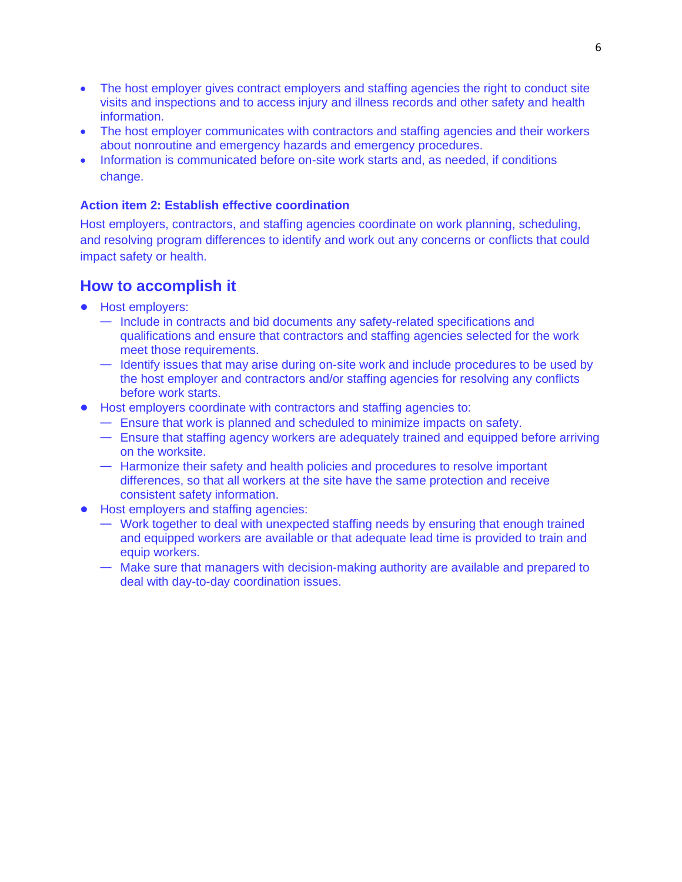- The host employer gives contract employers and staffing agencies the right to conduct site visits and inspections and to access injury and illness records and other safety and health information.
- The host employer communicates with contractors and staffing agencies and their workers about nonroutine and emergency hazards and emergency procedures.
- Information is communicated before on-site work starts and, as needed, if conditions change.

### **Action item 2: Establish effective coordination**

Host employers, contractors, and staffing agencies coordinate on work planning, scheduling, and resolving program differences to identify and work out any concerns or conflicts that could impact safety or health.

## **How to accomplish it**

- **•** Host employers:
	- Include in contracts and bid documents any safety-related specifications and qualifications and ensure that contractors and staffing agencies selected for the work meet those requirements.
	- Identify issues that may arise during on-site work and include procedures to be used by the host employer and contractors and/or staffing agencies for resolving any conflicts before work starts.
- **•** Host employers coordinate with contractors and staffing agencies to:
	- Ensure that work is planned and scheduled to minimize impacts on safety.
	- Ensure that staffing agency workers are adequately trained and equipped before arriving on the worksite.
	- Harmonize their safety and health policies and procedures to resolve important differences, so that all workers at the site have the same protection and receive consistent safety information.
- **•** Host employers and staffing agencies:
	- Work together to deal with unexpected staffing needs by ensuring that enough trained and equipped workers are available or that adequate lead time is provided to train and equip workers.
	- Make sure that managers with decision-making authority are available and prepared to deal with day-to-day coordination issues.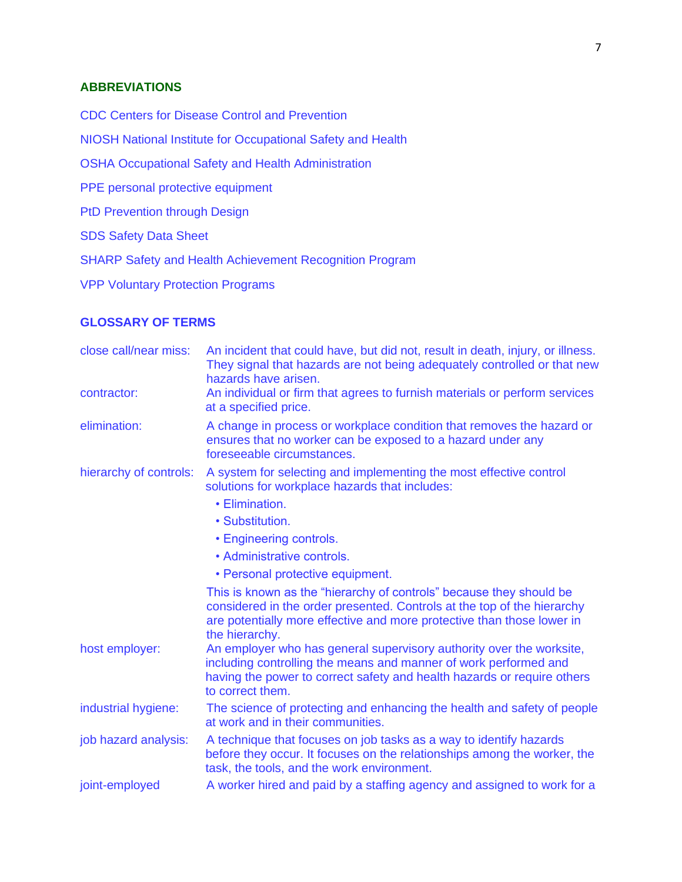### **ABBREVIATIONS**

CDC Centers for Disease Control and Prevention

NIOSH National Institute for Occupational Safety and Health

OSHA Occupational Safety and Health Administration

PPE personal protective equipment

PtD Prevention through Design

SDS Safety Data Sheet

SHARP Safety and Health Achievement Recognition Program

VPP Voluntary Protection Programs

### **GLOSSARY OF TERMS**

| close call/near miss:  | An incident that could have, but did not, result in death, injury, or illness.<br>They signal that hazards are not being adequately controlled or that new<br>hazards have arisen.                                                         |
|------------------------|--------------------------------------------------------------------------------------------------------------------------------------------------------------------------------------------------------------------------------------------|
| contractor:            | An individual or firm that agrees to furnish materials or perform services<br>at a specified price.                                                                                                                                        |
| elimination:           | A change in process or workplace condition that removes the hazard or<br>ensures that no worker can be exposed to a hazard under any<br>foreseeable circumstances.                                                                         |
| hierarchy of controls: | A system for selecting and implementing the most effective control<br>solutions for workplace hazards that includes:                                                                                                                       |
|                        | • Elimination.                                                                                                                                                                                                                             |
|                        | • Substitution.                                                                                                                                                                                                                            |
|                        | • Engineering controls.                                                                                                                                                                                                                    |
|                        | • Administrative controls.                                                                                                                                                                                                                 |
|                        | • Personal protective equipment.                                                                                                                                                                                                           |
|                        | This is known as the "hierarchy of controls" because they should be<br>considered in the order presented. Controls at the top of the hierarchy<br>are potentially more effective and more protective than those lower in<br>the hierarchy. |
| host employer:         | An employer who has general supervisory authority over the worksite,<br>including controlling the means and manner of work performed and<br>having the power to correct safety and health hazards or require others<br>to correct them.    |
| industrial hygiene:    | The science of protecting and enhancing the health and safety of people<br>at work and in their communities.                                                                                                                               |
| job hazard analysis:   | A technique that focuses on job tasks as a way to identify hazards<br>before they occur. It focuses on the relationships among the worker, the<br>task, the tools, and the work environment.                                               |
| joint-employed         | A worker hired and paid by a staffing agency and assigned to work for a                                                                                                                                                                    |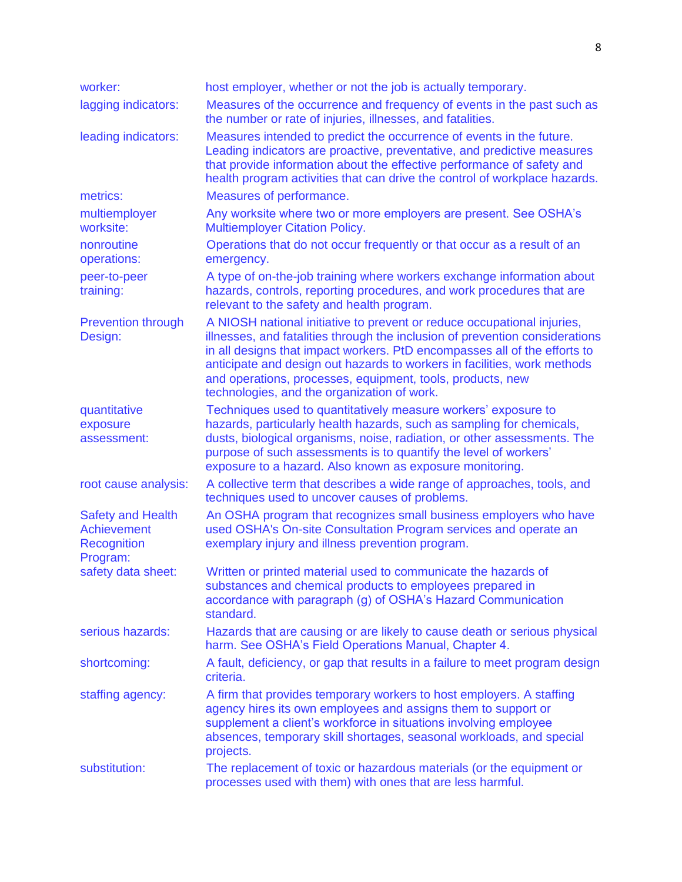| worker:                                                                   | host employer, whether or not the job is actually temporary.                                                                                                                                                                                                                                                                                                                                                                  |
|---------------------------------------------------------------------------|-------------------------------------------------------------------------------------------------------------------------------------------------------------------------------------------------------------------------------------------------------------------------------------------------------------------------------------------------------------------------------------------------------------------------------|
| lagging indicators:                                                       | Measures of the occurrence and frequency of events in the past such as<br>the number or rate of injuries, illnesses, and fatalities.                                                                                                                                                                                                                                                                                          |
| leading indicators:                                                       | Measures intended to predict the occurrence of events in the future.<br>Leading indicators are proactive, preventative, and predictive measures<br>that provide information about the effective performance of safety and<br>health program activities that can drive the control of workplace hazards.                                                                                                                       |
| metrics:                                                                  | Measures of performance.                                                                                                                                                                                                                                                                                                                                                                                                      |
| multiemployer<br>worksite:                                                | Any worksite where two or more employers are present. See OSHA's<br><b>Multiemployer Citation Policy.</b>                                                                                                                                                                                                                                                                                                                     |
| nonroutine<br>operations:                                                 | Operations that do not occur frequently or that occur as a result of an<br>emergency.                                                                                                                                                                                                                                                                                                                                         |
| peer-to-peer<br>training:                                                 | A type of on-the-job training where workers exchange information about<br>hazards, controls, reporting procedures, and work procedures that are<br>relevant to the safety and health program.                                                                                                                                                                                                                                 |
| <b>Prevention through</b><br>Design:                                      | A NIOSH national initiative to prevent or reduce occupational injuries,<br>illnesses, and fatalities through the inclusion of prevention considerations<br>in all designs that impact workers. PtD encompasses all of the efforts to<br>anticipate and design out hazards to workers in facilities, work methods<br>and operations, processes, equipment, tools, products, new<br>technologies, and the organization of work. |
| quantitative<br>exposure<br>assessment:                                   | Techniques used to quantitatively measure workers' exposure to<br>hazards, particularly health hazards, such as sampling for chemicals,<br>dusts, biological organisms, noise, radiation, or other assessments. The<br>purpose of such assessments is to quantify the level of workers'<br>exposure to a hazard. Also known as exposure monitoring.                                                                           |
| root cause analysis:                                                      | A collective term that describes a wide range of approaches, tools, and<br>techniques used to uncover causes of problems.                                                                                                                                                                                                                                                                                                     |
| <b>Safety and Health</b><br>Achievement<br><b>Recognition</b><br>Program: | An OSHA program that recognizes small business employers who have<br>used OSHA's On-site Consultation Program services and operate an<br>exemplary injury and illness prevention program.                                                                                                                                                                                                                                     |
| safety data sheet:                                                        | Written or printed material used to communicate the hazards of<br>substances and chemical products to employees prepared in<br>accordance with paragraph (g) of OSHA's Hazard Communication<br>standard.                                                                                                                                                                                                                      |
| serious hazards:                                                          | Hazards that are causing or are likely to cause death or serious physical<br>harm. See OSHA's Field Operations Manual, Chapter 4.                                                                                                                                                                                                                                                                                             |
| shortcoming:                                                              | A fault, deficiency, or gap that results in a failure to meet program design<br>criteria.                                                                                                                                                                                                                                                                                                                                     |
| staffing agency:                                                          | A firm that provides temporary workers to host employers. A staffing<br>agency hires its own employees and assigns them to support or<br>supplement a client's workforce in situations involving employee<br>absences, temporary skill shortages, seasonal workloads, and special<br>projects.                                                                                                                                |
| substitution:                                                             | The replacement of toxic or hazardous materials (or the equipment or<br>processes used with them) with ones that are less harmful.                                                                                                                                                                                                                                                                                            |